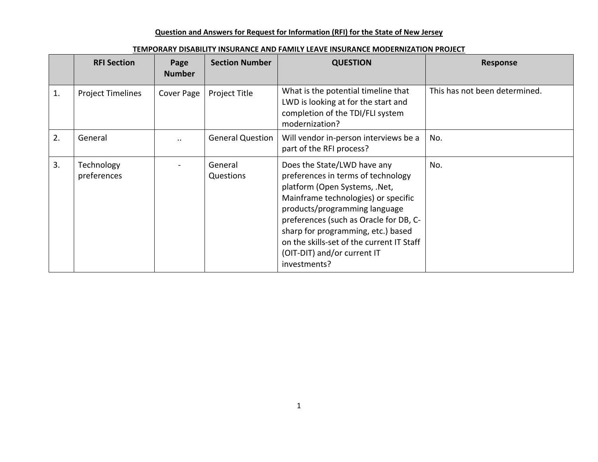|    | <b>RFI Section</b>        | Page<br><b>Number</b> | <b>Section Number</b>   | <b>QUESTION</b>                                                                                                                                                                                                                                                                                                                                        | Response                      |
|----|---------------------------|-----------------------|-------------------------|--------------------------------------------------------------------------------------------------------------------------------------------------------------------------------------------------------------------------------------------------------------------------------------------------------------------------------------------------------|-------------------------------|
| 1. | <b>Project Timelines</b>  | Cover Page            | Project Title           | What is the potential timeline that<br>LWD is looking at for the start and<br>completion of the TDI/FLI system<br>modernization?                                                                                                                                                                                                                       | This has not been determined. |
| 2. | General                   |                       | <b>General Question</b> | Will vendor in-person interviews be a<br>part of the RFI process?                                                                                                                                                                                                                                                                                      | No.                           |
| 3. | Technology<br>preferences |                       | General<br>Questions    | Does the State/LWD have any<br>preferences in terms of technology<br>platform (Open Systems, .Net,<br>Mainframe technologies) or specific<br>products/programming language<br>preferences (such as Oracle for DB, C-<br>sharp for programming, etc.) based<br>on the skills-set of the current IT Staff<br>(OIT-DIT) and/or current IT<br>investments? | No.                           |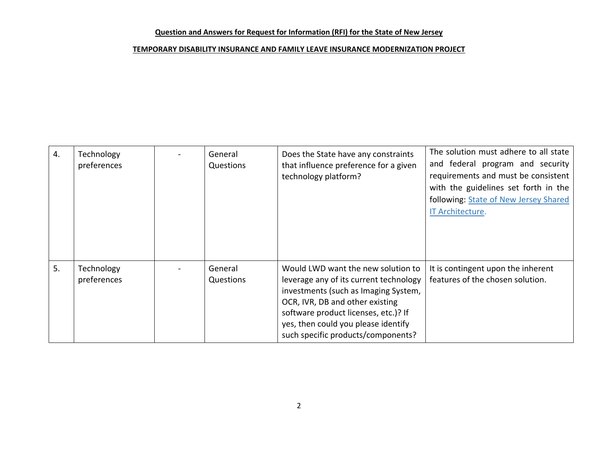| 4. | Technology<br>preferences | General<br>Questions | Does the State have any constraints<br>that influence preference for a given<br>technology platform?                                                                                                                                                                         | The solution must adhere to all state<br>and federal program and security<br>requirements and must be consistent<br>with the guidelines set forth in the<br>following: State of New Jersey Shared<br>IT Architecture. |
|----|---------------------------|----------------------|------------------------------------------------------------------------------------------------------------------------------------------------------------------------------------------------------------------------------------------------------------------------------|-----------------------------------------------------------------------------------------------------------------------------------------------------------------------------------------------------------------------|
| 5. | Technology<br>preferences | General<br>Questions | Would LWD want the new solution to<br>leverage any of its current technology<br>investments (such as Imaging System,<br>OCR, IVR, DB and other existing<br>software product licenses, etc.)? If<br>yes, then could you please identify<br>such specific products/components? | It is contingent upon the inherent<br>features of the chosen solution.                                                                                                                                                |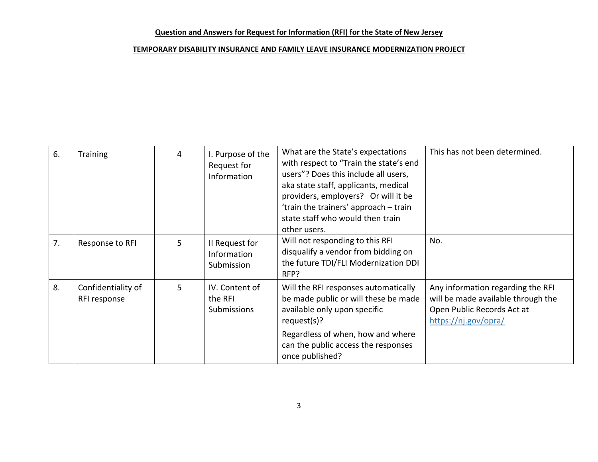| 6. | <b>Training</b>                    | 4 | I. Purpose of the<br>Request for<br>Information | What are the State's expectations<br>with respect to "Train the state's end<br>users"? Does this include all users,<br>aka state staff, applicants, medical<br>providers, employers? Or will it be<br>'train the trainers' approach - train<br>state staff who would then train<br>other users. | This has not been determined.                                                                                                 |
|----|------------------------------------|---|-------------------------------------------------|-------------------------------------------------------------------------------------------------------------------------------------------------------------------------------------------------------------------------------------------------------------------------------------------------|-------------------------------------------------------------------------------------------------------------------------------|
| 7. | Response to RFI                    | 5 | II Request for<br>Information<br>Submission     | Will not responding to this RFI<br>disqualify a vendor from bidding on<br>the future TDI/FLI Modernization DDI<br>RFP?                                                                                                                                                                          | No.                                                                                                                           |
| 8. | Confidentiality of<br>RFI response | 5 | IV. Content of<br>the RFI<br>Submissions        | Will the RFI responses automatically<br>be made public or will these be made<br>available only upon specific<br>request(s)?<br>Regardless of when, how and where<br>can the public access the responses<br>once published?                                                                      | Any information regarding the RFI<br>will be made available through the<br>Open Public Records Act at<br>https://nj.gov/opra/ |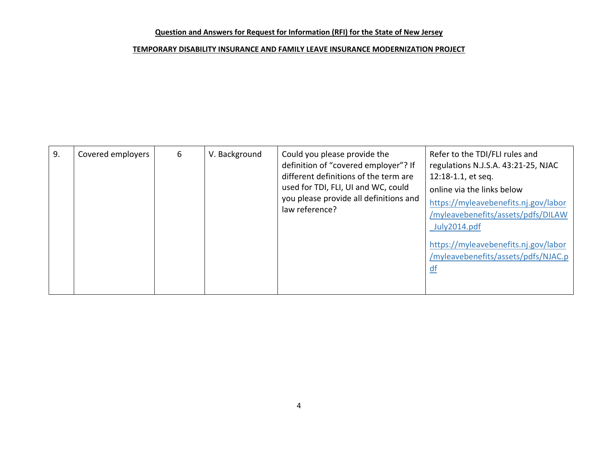| 9. | Covered employers | 6 | V. Background | Could you please provide the<br>definition of "covered employer"? If<br>different definitions of the term are<br>used for TDI, FLI, UI and WC, could<br>you please provide all definitions and<br>law reference? | Refer to the TDI/FLI rules and<br>regulations N.J.S.A. 43:21-25, NJAC<br>12:18-1.1, et seq.<br>online via the links below<br>https://myleavebenefits.nj.gov/labor<br>/myleavebenefits/assets/pdfs/DILAW<br>July2014.pdf<br>https://myleavebenefits.nj.gov/labor<br>/myleavebenefits/assets/pdfs/NJAC.p<br>$\underline{df}$ |
|----|-------------------|---|---------------|------------------------------------------------------------------------------------------------------------------------------------------------------------------------------------------------------------------|----------------------------------------------------------------------------------------------------------------------------------------------------------------------------------------------------------------------------------------------------------------------------------------------------------------------------|
|----|-------------------|---|---------------|------------------------------------------------------------------------------------------------------------------------------------------------------------------------------------------------------------------|----------------------------------------------------------------------------------------------------------------------------------------------------------------------------------------------------------------------------------------------------------------------------------------------------------------------------|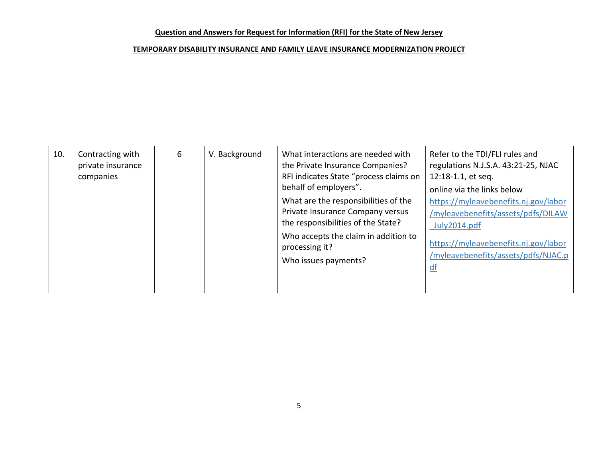| 10. | Contracting with<br>private insurance<br>companies | 6 | V. Background | What interactions are needed with<br>the Private Insurance Companies?<br>RFI indicates State "process claims on<br>behalf of employers".<br>What are the responsibilities of the<br>Private Insurance Company versus<br>the responsibilities of the State?<br>Who accepts the claim in addition to<br>processing it?<br>Who issues payments? | Refer to the TDI/FLI rules and<br>regulations N.J.S.A. 43:21-25, NJAC<br>12:18-1.1, et seq.<br>online via the links below<br>https://myleavebenefits.nj.gov/labor<br>/myleavebenefits/assets/pdfs/DILAW<br>July2014.pdf<br>https://myleavebenefits.nj.gov/labor<br>/myleavebenefits/assets/pdfs/NJAC.p<br>$df$ |
|-----|----------------------------------------------------|---|---------------|----------------------------------------------------------------------------------------------------------------------------------------------------------------------------------------------------------------------------------------------------------------------------------------------------------------------------------------------|----------------------------------------------------------------------------------------------------------------------------------------------------------------------------------------------------------------------------------------------------------------------------------------------------------------|
|-----|----------------------------------------------------|---|---------------|----------------------------------------------------------------------------------------------------------------------------------------------------------------------------------------------------------------------------------------------------------------------------------------------------------------------------------------------|----------------------------------------------------------------------------------------------------------------------------------------------------------------------------------------------------------------------------------------------------------------------------------------------------------------|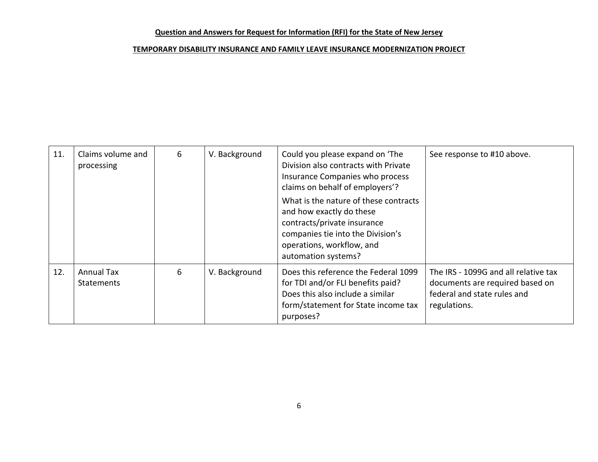| 11. | Claims volume and<br>processing | 6 | V. Background | Could you please expand on 'The<br>Division also contracts with Private<br>Insurance Companies who process<br>claims on behalf of employers'?<br>What is the nature of these contracts<br>and how exactly do these | See response to #10 above.                                                                                             |
|-----|---------------------------------|---|---------------|--------------------------------------------------------------------------------------------------------------------------------------------------------------------------------------------------------------------|------------------------------------------------------------------------------------------------------------------------|
|     |                                 |   |               | contracts/private insurance<br>companies tie into the Division's<br>operations, workflow, and<br>automation systems?                                                                                               |                                                                                                                        |
| 12. | Annual Tax<br><b>Statements</b> | 6 | V. Background | Does this reference the Federal 1099<br>for TDI and/or FLI benefits paid?<br>Does this also include a similar<br>form/statement for State income tax<br>purposes?                                                  | The IRS - 1099G and all relative tax<br>documents are required based on<br>federal and state rules and<br>regulations. |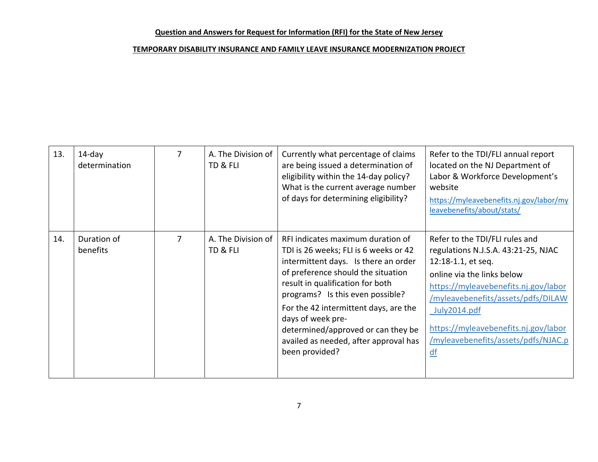| 13. | $14$ -day<br>determination |   | A. The Division of<br>TD & FLI | Currently what percentage of claims<br>are being issued a determination of<br>eligibility within the 14-day policy?<br>What is the current average number<br>of days for determining eligibility?                                                                                                                                                                                               | Refer to the TDI/FLI annual report<br>located on the NJ Department of<br>Labor & Workforce Development's<br>website<br>https://myleavebenefits.nj.gov/labor/my<br>leavebenefits/about/stats/                                                                                                                 |
|-----|----------------------------|---|--------------------------------|-------------------------------------------------------------------------------------------------------------------------------------------------------------------------------------------------------------------------------------------------------------------------------------------------------------------------------------------------------------------------------------------------|--------------------------------------------------------------------------------------------------------------------------------------------------------------------------------------------------------------------------------------------------------------------------------------------------------------|
| 14. | Duration of<br>benefits    | 7 | A. The Division of<br>TD & FLI | RFI indicates maximum duration of<br>TDI is 26 weeks; FLI is 6 weeks or 42<br>intermittent days. Is there an order<br>of preference should the situation<br>result in qualification for both<br>programs? Is this even possible?<br>For the 42 intermittent days, are the<br>days of week pre-<br>determined/approved or can they be<br>availed as needed, after approval has<br>been provided? | Refer to the TDI/FLI rules and<br>regulations N.J.S.A. 43:21-25, NJAC<br>12:18-1.1, et seq.<br>online via the links below<br>https://myleavebenefits.nj.gov/labor<br>/myleavebenefits/assets/pdfs/DILAW<br>July2014.pdf<br>https://myleavebenefits.nj.gov/labor<br>/myleavebenefits/assets/pdfs/NJAC.p<br>df |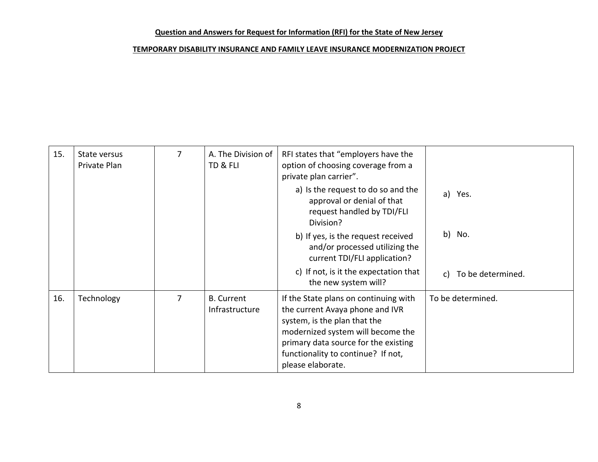| 15. | State versus<br>Private Plan | 7              | A. The Division of<br>TD & FLI      | RFI states that "employers have the<br>option of choosing coverage from a<br>private plan carrier".                                                                                                                                              |                         |
|-----|------------------------------|----------------|-------------------------------------|--------------------------------------------------------------------------------------------------------------------------------------------------------------------------------------------------------------------------------------------------|-------------------------|
|     |                              |                |                                     | a) Is the request to do so and the<br>approval or denial of that<br>request handled by TDI/FLI<br>Division?                                                                                                                                      | a) Yes.                 |
|     |                              |                |                                     | b) If yes, is the request received<br>and/or processed utilizing the<br>current TDI/FLI application?                                                                                                                                             | b) No.                  |
|     |                              |                |                                     | c) If not, is it the expectation that<br>the new system will?                                                                                                                                                                                    | To be determined.<br>C) |
| 16. | Technology                   | $\overline{7}$ | <b>B.</b> Current<br>Infrastructure | If the State plans on continuing with<br>the current Avaya phone and IVR<br>system, is the plan that the<br>modernized system will become the<br>primary data source for the existing<br>functionality to continue? If not,<br>please elaborate. | To be determined.       |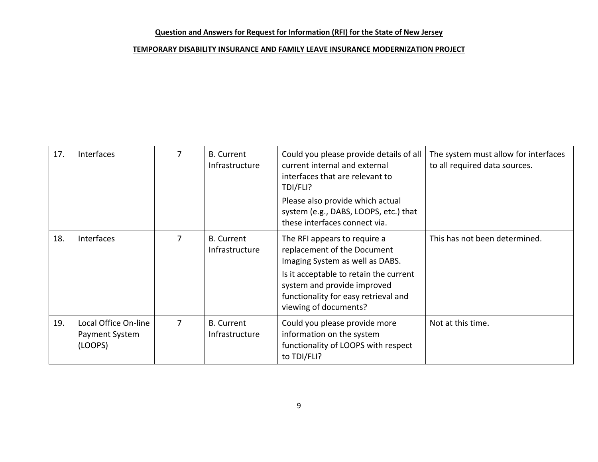| 17. | <b>Interfaces</b>                                 | 7 | <b>B.</b> Current<br>Infrastructure | Could you please provide details of all<br>current internal and external<br>interfaces that are relevant to<br>TDI/FLI?<br>Please also provide which actual<br>system (e.g., DABS, LOOPS, etc.) that<br>these interfaces connect via.    | The system must allow for interfaces<br>to all required data sources. |
|-----|---------------------------------------------------|---|-------------------------------------|------------------------------------------------------------------------------------------------------------------------------------------------------------------------------------------------------------------------------------------|-----------------------------------------------------------------------|
| 18. | Interfaces                                        | 7 | <b>B.</b> Current<br>Infrastructure | The RFI appears to require a<br>replacement of the Document<br>Imaging System as well as DABS.<br>Is it acceptable to retain the current<br>system and provide improved<br>functionality for easy retrieval and<br>viewing of documents? | This has not been determined.                                         |
| 19. | Local Office On-line<br>Payment System<br>(LOOPS) | 7 | <b>B.</b> Current<br>Infrastructure | Could you please provide more<br>information on the system<br>functionality of LOOPS with respect<br>to TDI/FLI?                                                                                                                         | Not at this time.                                                     |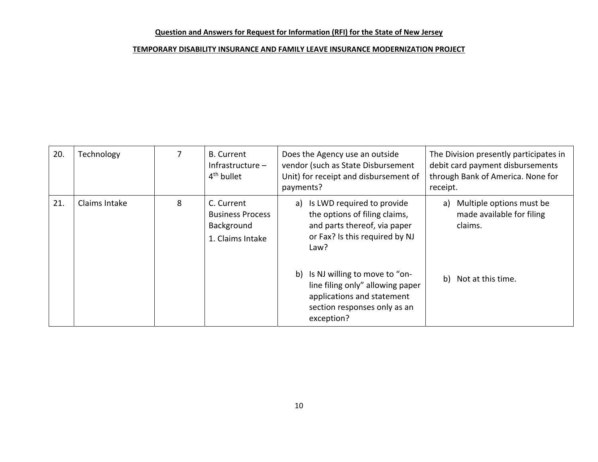| 20. | Technology    |   | <b>B.</b> Current<br>Infrastructure $-$<br>4 <sup>th</sup> bullet       | Does the Agency use an outside<br>vendor (such as State Disbursement<br>Unit) for receipt and disbursement of<br>payments?                          | The Division presently participates in<br>debit card payment disbursements<br>through Bank of America. None for<br>receipt. |
|-----|---------------|---|-------------------------------------------------------------------------|-----------------------------------------------------------------------------------------------------------------------------------------------------|-----------------------------------------------------------------------------------------------------------------------------|
| 21. | Claims Intake | 8 | C. Current<br><b>Business Process</b><br>Background<br>1. Claims Intake | Is LWD required to provide<br>a)<br>the options of filing claims,<br>and parts thereof, via paper<br>or Fax? Is this required by NJ<br>Law?         | Multiple options must be<br>a)<br>made available for filing<br>claims.                                                      |
|     |               |   |                                                                         | b)<br>Is NJ willing to move to "on-<br>line filing only" allowing paper<br>applications and statement<br>section responses only as an<br>exception? | b) Not at this time.                                                                                                        |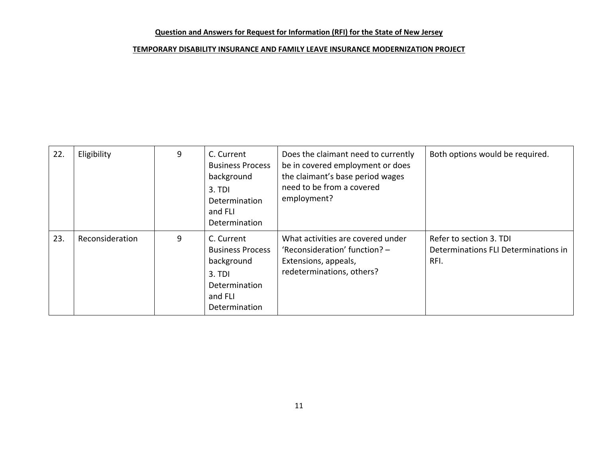| 22. | Eligibility     | 9 | C. Current<br><b>Business Process</b><br>background<br>3. TDI<br>Determination<br>and FLI<br>Determination | Does the claimant need to currently<br>be in covered employment or does<br>the claimant's base period wages<br>need to be from a covered<br>employment? | Both options would be required.                                         |
|-----|-----------------|---|------------------------------------------------------------------------------------------------------------|---------------------------------------------------------------------------------------------------------------------------------------------------------|-------------------------------------------------------------------------|
| 23. | Reconsideration | 9 | C. Current<br><b>Business Process</b><br>background<br>3. TDI<br>Determination<br>and FLI<br>Determination | What activities are covered under<br>'Reconsideration' function? -<br>Extensions, appeals,<br>redeterminations, others?                                 | Refer to section 3. TDI<br>Determinations FLI Determinations in<br>RFI. |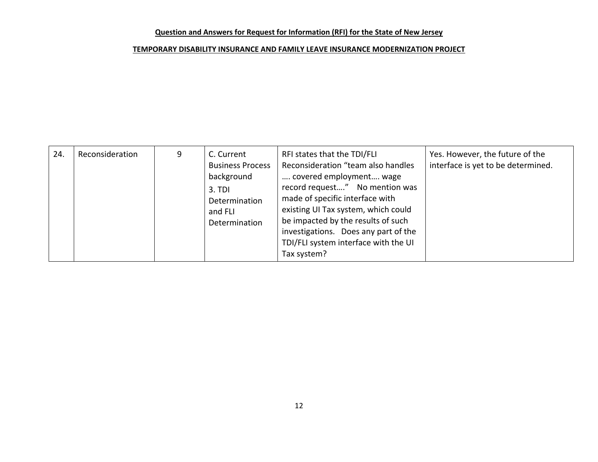| 24. | Reconsideration | 9 | C. Current<br><b>Business Process</b><br>background<br>3. TDI<br>Determination<br>and FLI<br>Determination | RFI states that the TDI/FLI<br>Reconsideration "team also handles<br>covered employment wage<br>record request" No mention was<br>made of specific interface with<br>existing UI Tax system, which could<br>be impacted by the results of such<br>investigations. Does any part of the<br>TDI/FLI system interface with the UI<br>Tax system? | Yes. However, the future of the<br>interface is yet to be determined. |
|-----|-----------------|---|------------------------------------------------------------------------------------------------------------|-----------------------------------------------------------------------------------------------------------------------------------------------------------------------------------------------------------------------------------------------------------------------------------------------------------------------------------------------|-----------------------------------------------------------------------|
|-----|-----------------|---|------------------------------------------------------------------------------------------------------------|-----------------------------------------------------------------------------------------------------------------------------------------------------------------------------------------------------------------------------------------------------------------------------------------------------------------------------------------------|-----------------------------------------------------------------------|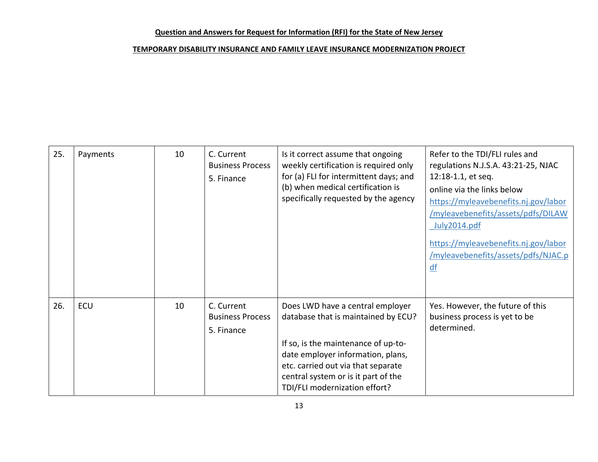| 25. | Payments | 10 | C. Current<br><b>Business Process</b><br>5. Finance | Is it correct assume that ongoing<br>weekly certification is required only<br>for (a) FLI for intermittent days; and<br>(b) when medical certification is<br>specifically requested by the agency                                                                 | Refer to the TDI/FLI rules and<br>regulations N.J.S.A. 43:21-25, NJAC<br>12:18-1.1, et seq.<br>online via the links below<br>https://myleavebenefits.nj.gov/labor<br>/myleavebenefits/assets/pdfs/DILAW<br>July2014.pdf<br>https://myleavebenefits.nj.gov/labor<br>/myleavebenefits/assets/pdfs/NJAC.p<br>$df$ |
|-----|----------|----|-----------------------------------------------------|-------------------------------------------------------------------------------------------------------------------------------------------------------------------------------------------------------------------------------------------------------------------|----------------------------------------------------------------------------------------------------------------------------------------------------------------------------------------------------------------------------------------------------------------------------------------------------------------|
| 26. | ECU      | 10 | C. Current<br><b>Business Process</b><br>5. Finance | Does LWD have a central employer<br>database that is maintained by ECU?<br>If so, is the maintenance of up-to-<br>date employer information, plans,<br>etc. carried out via that separate<br>central system or is it part of the<br>TDI/FLI modernization effort? | Yes. However, the future of this<br>business process is yet to be<br>determined.                                                                                                                                                                                                                               |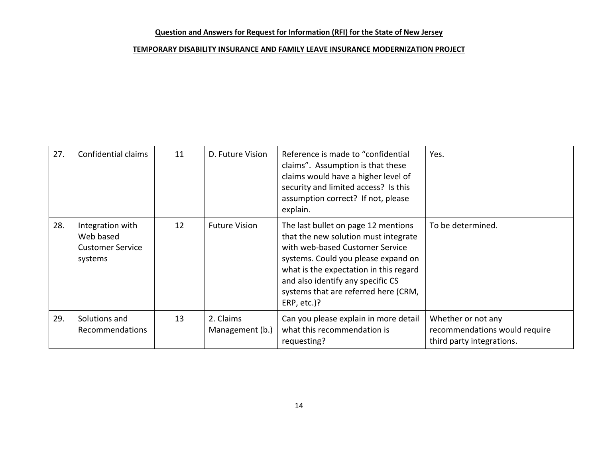| 27. | Confidential claims                                                 | 11 | D. Future Vision             | Reference is made to "confidential<br>claims". Assumption is that these<br>claims would have a higher level of<br>security and limited access? Is this<br>assumption correct? If not, please<br>explain.                                                                                    | Yes.                                                                             |
|-----|---------------------------------------------------------------------|----|------------------------------|---------------------------------------------------------------------------------------------------------------------------------------------------------------------------------------------------------------------------------------------------------------------------------------------|----------------------------------------------------------------------------------|
| 28. | Integration with<br>Web based<br><b>Customer Service</b><br>systems | 12 | <b>Future Vision</b>         | The last bullet on page 12 mentions<br>that the new solution must integrate<br>with web-based Customer Service<br>systems. Could you please expand on<br>what is the expectation in this regard<br>and also identify any specific CS<br>systems that are referred here (CRM,<br>ERP, etc.)? | To be determined.                                                                |
| 29. | Solutions and<br>Recommendations                                    | 13 | 2. Claims<br>Management (b.) | Can you please explain in more detail<br>what this recommendation is<br>requesting?                                                                                                                                                                                                         | Whether or not any<br>recommendations would require<br>third party integrations. |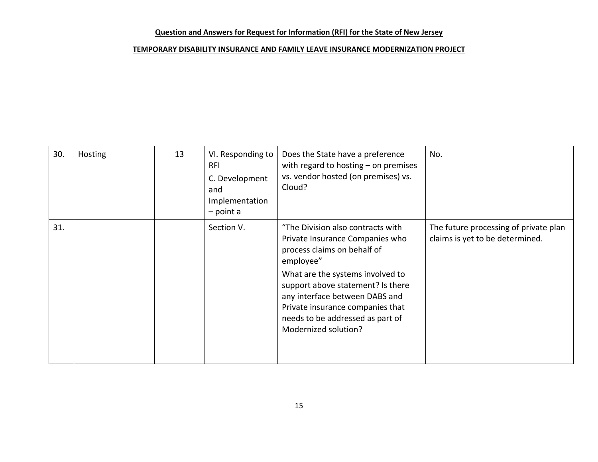| 30. | <b>Hosting</b> | 13 | VI. Responding to<br><b>RFI</b><br>C. Development<br>and<br>Implementation<br>$-$ point a | Does the State have a preference<br>with regard to hosting $-$ on premises<br>vs. vendor hosted (on premises) vs.<br>Cloud?                                                                                                                                                                                                 | No.                                                                      |
|-----|----------------|----|-------------------------------------------------------------------------------------------|-----------------------------------------------------------------------------------------------------------------------------------------------------------------------------------------------------------------------------------------------------------------------------------------------------------------------------|--------------------------------------------------------------------------|
| 31. |                |    | Section V.                                                                                | "The Division also contracts with<br>Private Insurance Companies who<br>process claims on behalf of<br>employee"<br>What are the systems involved to<br>support above statement? Is there<br>any interface between DABS and<br>Private insurance companies that<br>needs to be addressed as part of<br>Modernized solution? | The future processing of private plan<br>claims is yet to be determined. |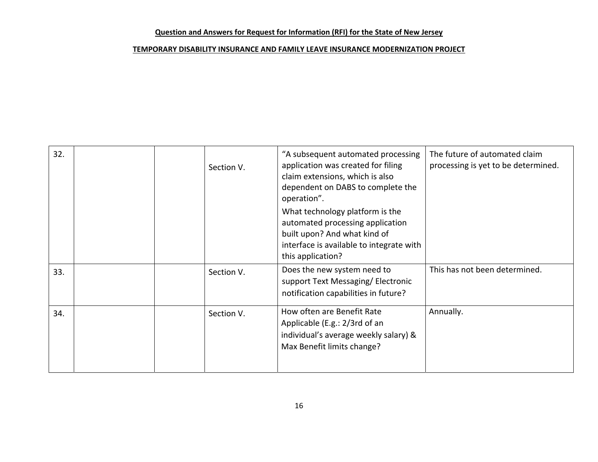| 32. | Section V. | "A subsequent automated processing<br>application was created for filing<br>claim extensions, which is also<br>dependent on DABS to complete the<br>operation".<br>What technology platform is the<br>automated processing application | The future of automated claim<br>processing is yet to be determined. |
|-----|------------|----------------------------------------------------------------------------------------------------------------------------------------------------------------------------------------------------------------------------------------|----------------------------------------------------------------------|
|     |            | built upon? And what kind of<br>interface is available to integrate with<br>this application?                                                                                                                                          |                                                                      |
| 33. | Section V. | Does the new system need to<br>support Text Messaging/Electronic<br>notification capabilities in future?                                                                                                                               | This has not been determined.                                        |
| 34. | Section V. | How often are Benefit Rate<br>Applicable (E.g.: 2/3rd of an<br>individual's average weekly salary) &<br>Max Benefit limits change?                                                                                                     | Annually.                                                            |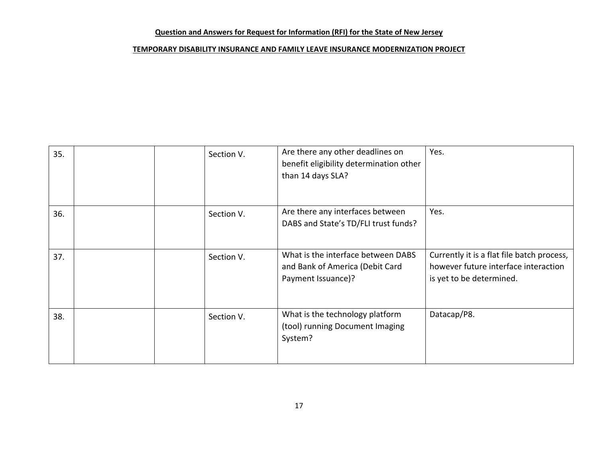| 35. | Section V. | Are there any other deadlines on<br>benefit eligibility determination other<br>than 14 days SLA? | Yes.                                                                                                           |
|-----|------------|--------------------------------------------------------------------------------------------------|----------------------------------------------------------------------------------------------------------------|
| 36. | Section V. | Are there any interfaces between<br>DABS and State's TD/FLI trust funds?                         | Yes.                                                                                                           |
| 37. | Section V. | What is the interface between DABS<br>and Bank of America (Debit Card<br>Payment Issuance)?      | Currently it is a flat file batch process,<br>however future interface interaction<br>is yet to be determined. |
| 38. | Section V. | What is the technology platform<br>(tool) running Document Imaging<br>System?                    | Datacap/P8.                                                                                                    |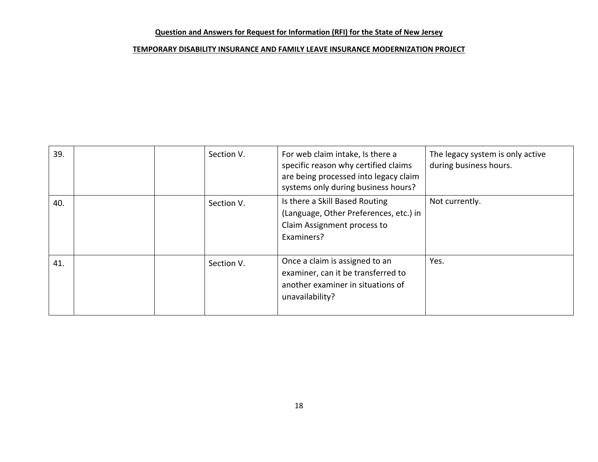| 39. | Section V. | For web claim intake, Is there a<br>specific reason why certified claims<br>are being processed into legacy claim<br>systems only during business hours? | The legacy system is only active<br>during business hours. |
|-----|------------|----------------------------------------------------------------------------------------------------------------------------------------------------------|------------------------------------------------------------|
| 40. | Section V. | Is there a Skill Based Routing<br>(Language, Other Preferences, etc.) in<br>Claim Assignment process to<br>Examiners?                                    | Not currently.                                             |
| 41. | Section V. | Once a claim is assigned to an<br>examiner, can it be transferred to<br>another examiner in situations of<br>unavailability?                             | Yes.                                                       |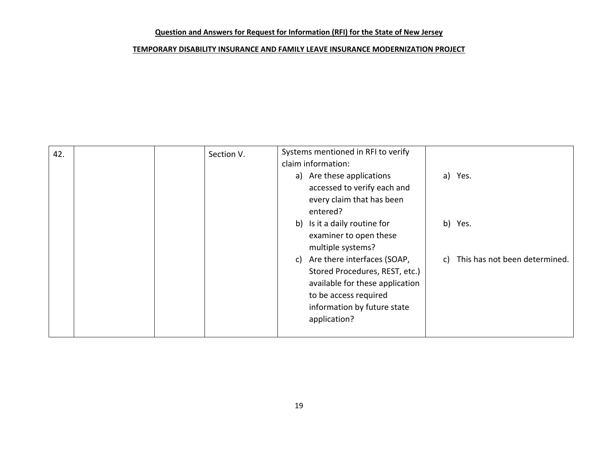| 42. | Section V. | Systems mentioned in RFI to verify                                    |
|-----|------------|-----------------------------------------------------------------------|
|     |            | claim information:                                                    |
|     |            | a) Are these applications<br>a) Yes.                                  |
|     |            | accessed to verify each and                                           |
|     |            | every claim that has been                                             |
|     |            | entered?                                                              |
|     |            | b) Is it a daily routine for<br>b) Yes.                               |
|     |            | examiner to open these                                                |
|     |            | multiple systems?                                                     |
|     |            | Are there interfaces (SOAP,<br>c) This has not been determined.<br>C) |
|     |            | Stored Procedures, REST, etc.)                                        |
|     |            | available for these application                                       |
|     |            | to be access required                                                 |
|     |            | information by future state                                           |
|     |            | application?                                                          |
|     |            |                                                                       |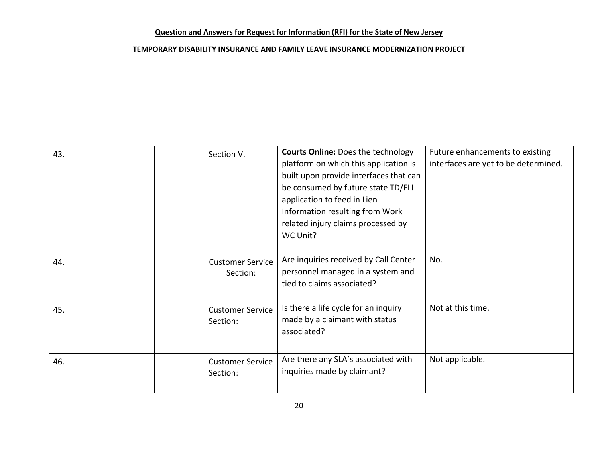| 43. | Section V.                          | <b>Courts Online: Does the technology</b><br>platform on which this application is<br>built upon provide interfaces that can<br>be consumed by future state TD/FLI<br>application to feed in Lien<br>Information resulting from Work<br>related injury claims processed by<br>WC Unit? | Future enhancements to existing<br>interfaces are yet to be determined. |
|-----|-------------------------------------|----------------------------------------------------------------------------------------------------------------------------------------------------------------------------------------------------------------------------------------------------------------------------------------|-------------------------------------------------------------------------|
| 44. | <b>Customer Service</b><br>Section: | Are inquiries received by Call Center<br>personnel managed in a system and<br>tied to claims associated?                                                                                                                                                                               | No.                                                                     |
| 45. | <b>Customer Service</b><br>Section: | Is there a life cycle for an inquiry<br>made by a claimant with status<br>associated?                                                                                                                                                                                                  | Not at this time.                                                       |
| 46. | <b>Customer Service</b><br>Section: | Are there any SLA's associated with<br>inquiries made by claimant?                                                                                                                                                                                                                     | Not applicable.                                                         |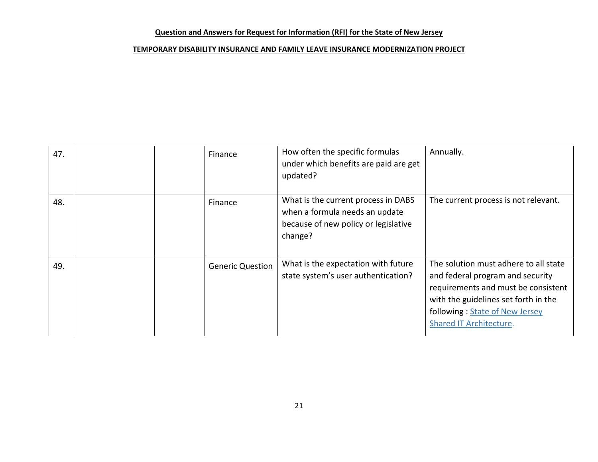| 47. | Finance                 | How often the specific formulas<br>under which benefits are paid are get<br>updated?                                     | Annually.                                                                                                                                                                                                             |
|-----|-------------------------|--------------------------------------------------------------------------------------------------------------------------|-----------------------------------------------------------------------------------------------------------------------------------------------------------------------------------------------------------------------|
| 48. | Finance                 | What is the current process in DABS<br>when a formula needs an update<br>because of new policy or legislative<br>change? | The current process is not relevant.                                                                                                                                                                                  |
| 49. | <b>Generic Question</b> | What is the expectation with future<br>state system's user authentication?                                               | The solution must adhere to all state<br>and federal program and security<br>requirements and must be consistent<br>with the guidelines set forth in the<br>following: State of New Jersey<br>Shared IT Architecture. |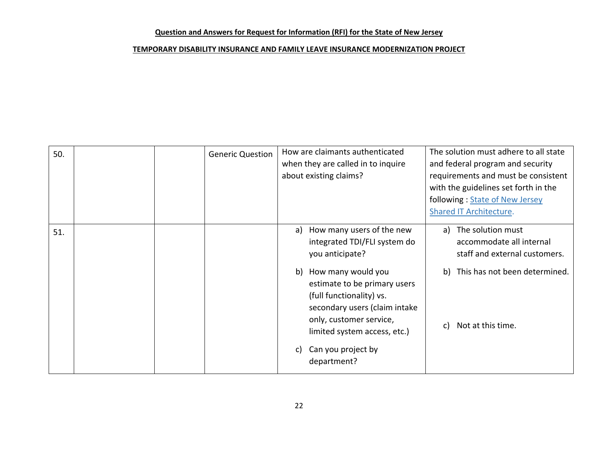| 50. | <b>Generic Question</b> |    | How are claimants authenticated<br>when they are called in to inquire<br>about existing claims?                                                                                                    |          | The solution must adhere to all state<br>and federal program and security<br>requirements and must be consistent<br>with the guidelines set forth in the<br>following: State of New Jersey<br><b>Shared IT Architecture.</b> |
|-----|-------------------------|----|----------------------------------------------------------------------------------------------------------------------------------------------------------------------------------------------------|----------|------------------------------------------------------------------------------------------------------------------------------------------------------------------------------------------------------------------------------|
| 51. |                         | b) | a) How many users of the new<br>integrated TDI/FLI system do<br>you anticipate?<br>How many would you<br>estimate to be primary users<br>(full functionality) vs.<br>secondary users (claim intake | a)<br>b) | The solution must<br>accommodate all internal<br>staff and external customers.<br>This has not been determined.                                                                                                              |
|     |                         | C) | only, customer service,<br>limited system access, etc.)<br>Can you project by<br>department?                                                                                                       | c)       | Not at this time.                                                                                                                                                                                                            |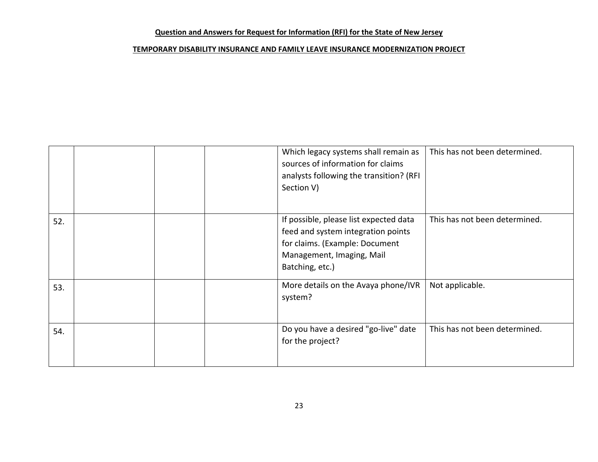|     | Section V) | Which legacy systems shall remain as<br>sources of information for claims<br>analysts following the transition? (RFI                                           | This has not been determined. |
|-----|------------|----------------------------------------------------------------------------------------------------------------------------------------------------------------|-------------------------------|
| 52. |            | If possible, please list expected data<br>feed and system integration points<br>for claims. (Example: Document<br>Management, Imaging, Mail<br>Batching, etc.) | This has not been determined. |
| 53. | system?    | More details on the Avaya phone/IVR                                                                                                                            | Not applicable.               |
| 54. |            | Do you have a desired "go-live" date<br>for the project?                                                                                                       | This has not been determined. |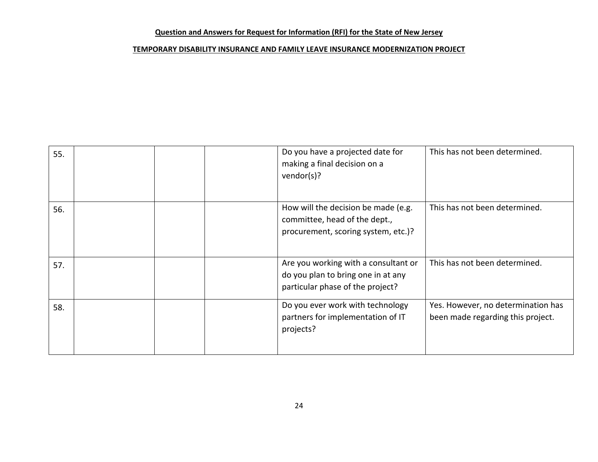| 55. |  | Do you have a projected date for<br>making a final decision on a<br>vendor(s)?                                 | This has not been determined.                                           |
|-----|--|----------------------------------------------------------------------------------------------------------------|-------------------------------------------------------------------------|
| 56. |  | How will the decision be made (e.g.<br>committee, head of the dept.,<br>procurement, scoring system, etc.)?    | This has not been determined.                                           |
| 57. |  | Are you working with a consultant or<br>do you plan to bring one in at any<br>particular phase of the project? | This has not been determined.                                           |
| 58. |  | Do you ever work with technology<br>partners for implementation of IT<br>projects?                             | Yes. However, no determination has<br>been made regarding this project. |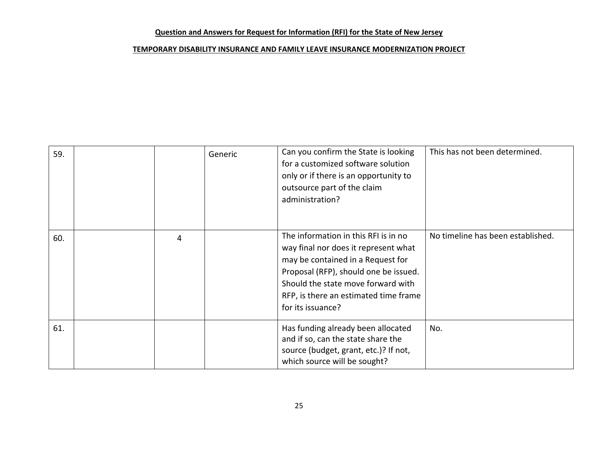| 59. |   | Generic | Can you confirm the State is looking<br>for a customized software solution<br>only or if there is an opportunity to<br>outsource part of the claim<br>administration?                                                                                          | This has not been determined.     |
|-----|---|---------|----------------------------------------------------------------------------------------------------------------------------------------------------------------------------------------------------------------------------------------------------------------|-----------------------------------|
| 60. | 4 |         | The information in this RFI is in no<br>way final nor does it represent what<br>may be contained in a Request for<br>Proposal (RFP), should one be issued.<br>Should the state move forward with<br>RFP, is there an estimated time frame<br>for its issuance? | No timeline has been established. |
| 61. |   |         | Has funding already been allocated<br>and if so, can the state share the<br>source (budget, grant, etc.)? If not,<br>which source will be sought?                                                                                                              | No.                               |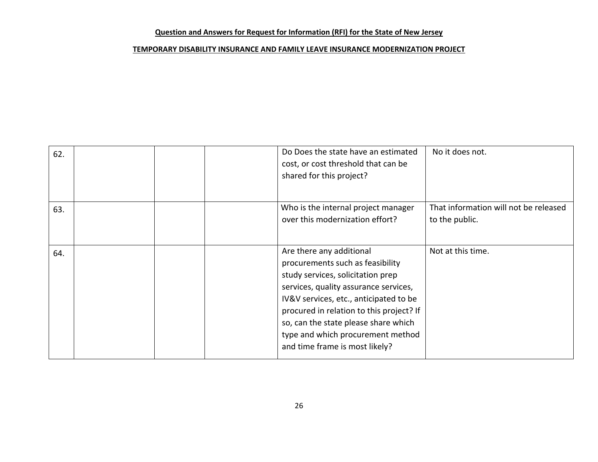| 62. |  | Do Does the state have an estimated<br>cost, or cost threshold that can be<br>shared for this project?                                                                                                                                                                                                                                          | No it does not.                                         |
|-----|--|-------------------------------------------------------------------------------------------------------------------------------------------------------------------------------------------------------------------------------------------------------------------------------------------------------------------------------------------------|---------------------------------------------------------|
| 63. |  | Who is the internal project manager<br>over this modernization effort?                                                                                                                                                                                                                                                                          | That information will not be released<br>to the public. |
| 64. |  | Are there any additional<br>procurements such as feasibility<br>study services, solicitation prep<br>services, quality assurance services,<br>IV&V services, etc., anticipated to be<br>procured in relation to this project? If<br>so, can the state please share which<br>type and which procurement method<br>and time frame is most likely? | Not at this time.                                       |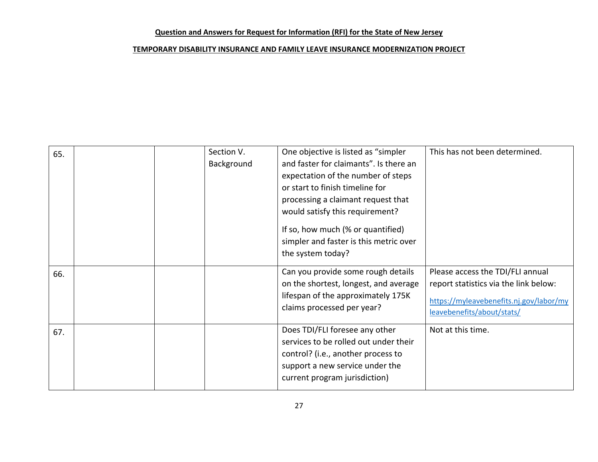| 65. | Section V.<br>Background | One objective is listed as "simpler<br>and faster for claimants". Is there an<br>expectation of the number of steps<br>or start to finish timeline for<br>processing a claimant request that<br>would satisfy this requirement?<br>If so, how much (% or quantified)<br>simpler and faster is this metric over<br>the system today? | This has not been determined.                                                                                                                      |
|-----|--------------------------|-------------------------------------------------------------------------------------------------------------------------------------------------------------------------------------------------------------------------------------------------------------------------------------------------------------------------------------|----------------------------------------------------------------------------------------------------------------------------------------------------|
| 66. |                          | Can you provide some rough details<br>on the shortest, longest, and average<br>lifespan of the approximately 175K<br>claims processed per year?                                                                                                                                                                                     | Please access the TDI/FLI annual<br>report statistics via the link below:<br>https://myleavebenefits.nj.gov/labor/my<br>leavebenefits/about/stats/ |
| 67. |                          | Does TDI/FLI foresee any other<br>services to be rolled out under their<br>control? (i.e., another process to<br>support a new service under the<br>current program jurisdiction)                                                                                                                                                   | Not at this time.                                                                                                                                  |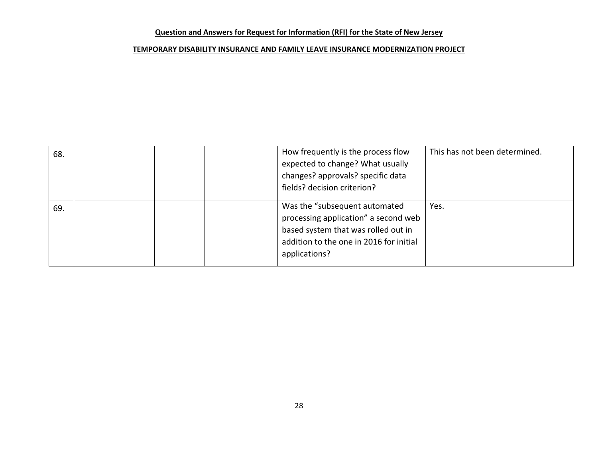| 68. |  | How frequently is the process flow<br>expected to change? What usually<br>changes? approvals? specific data<br>fields? decision criterion?                               | This has not been determined. |
|-----|--|--------------------------------------------------------------------------------------------------------------------------------------------------------------------------|-------------------------------|
| 69. |  | Was the "subsequent automated<br>processing application" a second web<br>based system that was rolled out in<br>addition to the one in 2016 for initial<br>applications? | Yes.                          |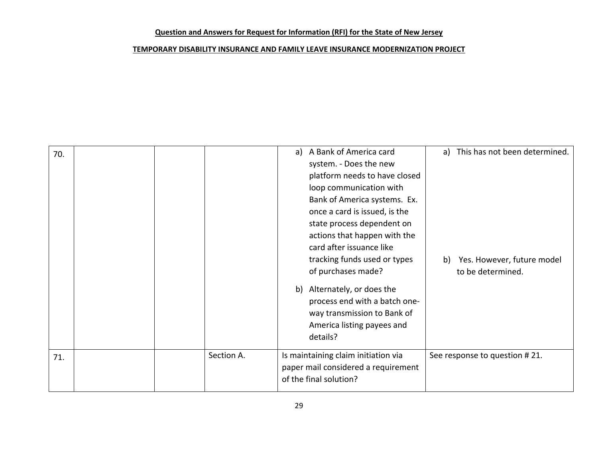| 70. |  |            | a) | A Bank of America card              |    | a) This has not been determined. |
|-----|--|------------|----|-------------------------------------|----|----------------------------------|
|     |  |            |    | system. - Does the new              |    |                                  |
|     |  |            |    | platform needs to have closed       |    |                                  |
|     |  |            |    | loop communication with             |    |                                  |
|     |  |            |    | Bank of America systems. Ex.        |    |                                  |
|     |  |            |    | once a card is issued, is the       |    |                                  |
|     |  |            |    | state process dependent on          |    |                                  |
|     |  |            |    | actions that happen with the        |    |                                  |
|     |  |            |    | card after issuance like            |    |                                  |
|     |  |            |    | tracking funds used or types        | b) | Yes. However, future model       |
|     |  |            |    | of purchases made?                  |    | to be determined.                |
|     |  |            | b) | Alternately, or does the            |    |                                  |
|     |  |            |    | process end with a batch one-       |    |                                  |
|     |  |            |    | way transmission to Bank of         |    |                                  |
|     |  |            |    | America listing payees and          |    |                                  |
|     |  |            |    | details?                            |    |                                  |
|     |  |            |    |                                     |    |                                  |
| 71. |  | Section A. |    | Is maintaining claim initiation via |    | See response to question #21.    |
|     |  |            |    | paper mail considered a requirement |    |                                  |
|     |  |            |    | of the final solution?              |    |                                  |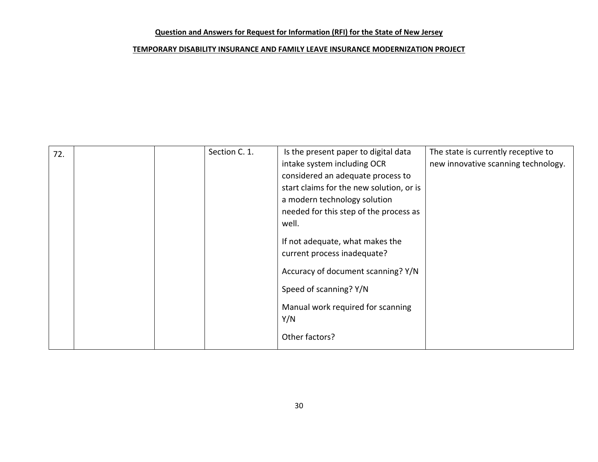| 72. | Section C. 1. | Is the present paper to digital data     | The state is currently receptive to |
|-----|---------------|------------------------------------------|-------------------------------------|
|     |               | intake system including OCR              | new innovative scanning technology. |
|     |               | considered an adequate process to        |                                     |
|     |               | start claims for the new solution, or is |                                     |
|     |               | a modern technology solution             |                                     |
|     |               | needed for this step of the process as   |                                     |
|     |               | well.                                    |                                     |
|     |               | If not adequate, what makes the          |                                     |
|     |               | current process inadequate?              |                                     |
|     |               |                                          |                                     |
|     |               | Accuracy of document scanning? Y/N       |                                     |
|     |               | Speed of scanning? Y/N                   |                                     |
|     |               | Manual work required for scanning        |                                     |
|     |               | Y/N                                      |                                     |
|     |               | Other factors?                           |                                     |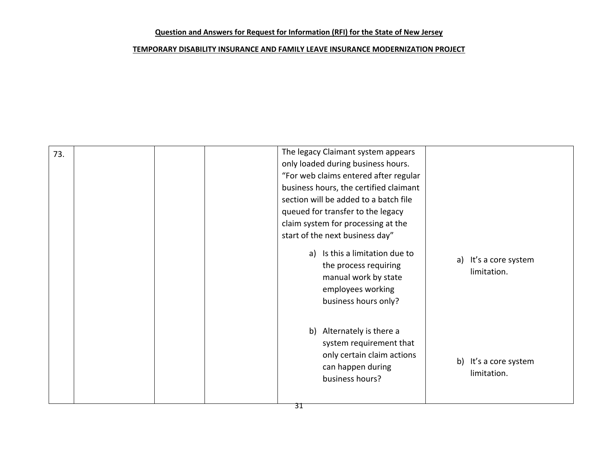| 73. |  | The legacy Claimant system appears<br>only loaded during business hours.<br>"For web claims entered after regular<br>business hours, the certified claimant<br>section will be added to a batch file<br>queued for transfer to the legacy<br>claim system for processing at the<br>start of the next business day"<br>a) Is this a limitation due to<br>the process requiring<br>manual work by state<br>employees working<br>business hours only? | a) It's a core system<br>limitation. |
|-----|--|----------------------------------------------------------------------------------------------------------------------------------------------------------------------------------------------------------------------------------------------------------------------------------------------------------------------------------------------------------------------------------------------------------------------------------------------------|--------------------------------------|
|     |  | b) Alternately is there a<br>system requirement that<br>only certain claim actions<br>can happen during<br>business hours?                                                                                                                                                                                                                                                                                                                         | b) It's a core system<br>limitation. |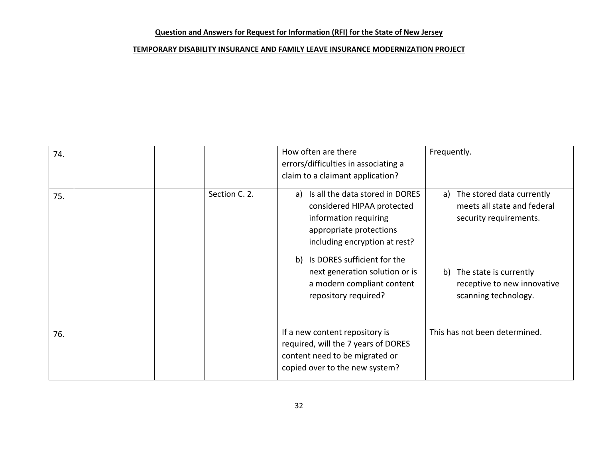| 74. |               | How often are there<br>errors/difficulties in associating a<br>claim to a claimant application?                                                                                                                                                                                    | Frequently.                                                                                                                                                               |
|-----|---------------|------------------------------------------------------------------------------------------------------------------------------------------------------------------------------------------------------------------------------------------------------------------------------------|---------------------------------------------------------------------------------------------------------------------------------------------------------------------------|
| 75. | Section C. 2. | a) Is all the data stored in DORES<br>considered HIPAA protected<br>information requiring<br>appropriate protections<br>including encryption at rest?<br>Is DORES sufficient for the<br>b)<br>next generation solution or is<br>a modern compliant content<br>repository required? | a) The stored data currently<br>meets all state and federal<br>security requirements.<br>b) The state is currently<br>receptive to new innovative<br>scanning technology. |
| 76. |               | If a new content repository is<br>required, will the 7 years of DORES<br>content need to be migrated or<br>copied over to the new system?                                                                                                                                          | This has not been determined.                                                                                                                                             |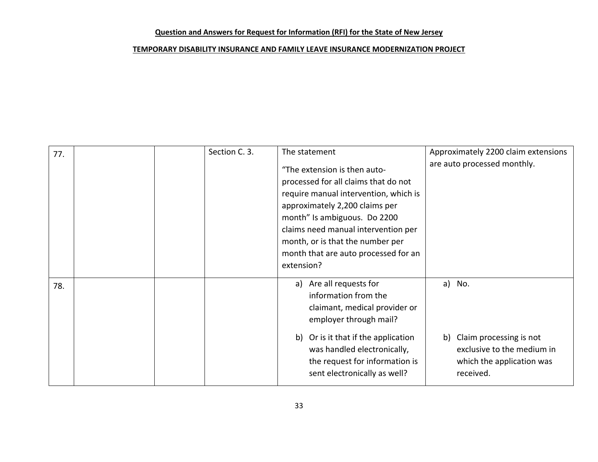| 77. | Section C. 3. | The statement                                                                                                                                                                                                                                                                                                    | Approximately 2200 claim extensions                                                                          |
|-----|---------------|------------------------------------------------------------------------------------------------------------------------------------------------------------------------------------------------------------------------------------------------------------------------------------------------------------------|--------------------------------------------------------------------------------------------------------------|
|     |               | "The extension is then auto-<br>processed for all claims that do not<br>require manual intervention, which is<br>approximately 2,200 claims per<br>month" Is ambiguous. Do 2200<br>claims need manual intervention per<br>month, or is that the number per<br>month that are auto processed for an<br>extension? | are auto processed monthly.                                                                                  |
| 78. |               | a) Are all requests for<br>information from the<br>claimant, medical provider or<br>employer through mail?<br>b) Or is it that if the application<br>was handled electronically,<br>the request for information is<br>sent electronically as well?                                                               | a) No.<br>b) Claim processing is not<br>exclusive to the medium in<br>which the application was<br>received. |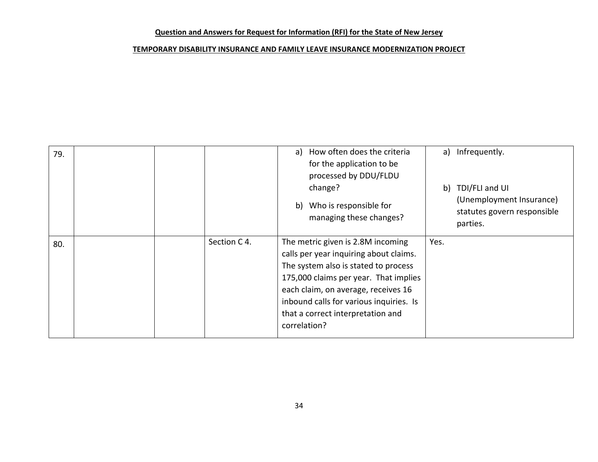| 79. |              |              | a) How often does the criteria<br>for the application to be<br>processed by DDU/FLDU                                                                                                                                                                                                |      | a) Infrequently.                                                                         |
|-----|--------------|--------------|-------------------------------------------------------------------------------------------------------------------------------------------------------------------------------------------------------------------------------------------------------------------------------------|------|------------------------------------------------------------------------------------------|
|     |              |              | change?<br>b) Who is responsible for<br>managing these changes?                                                                                                                                                                                                                     |      | b) TDI/FLI and UI<br>(Unemployment Insurance)<br>statutes govern responsible<br>parties. |
| 80. | Section C 4. | correlation? | The metric given is 2.8M incoming<br>calls per year inquiring about claims.<br>The system also is stated to process<br>175,000 claims per year. That implies<br>each claim, on average, receives 16<br>inbound calls for various inquiries. Is<br>that a correct interpretation and | Yes. |                                                                                          |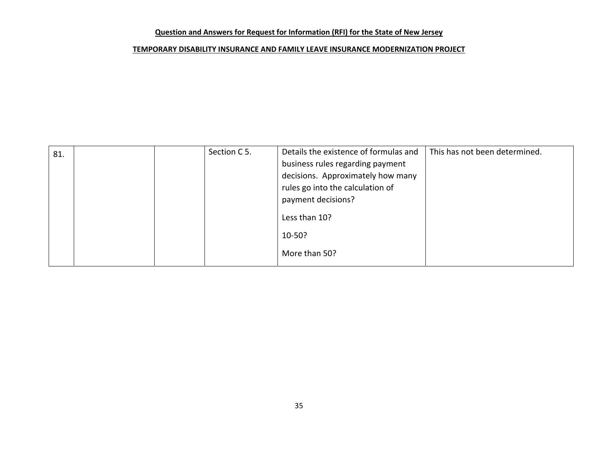| 81. | Section C 5. | Details the existence of formulas and | This has not been determined. |
|-----|--------------|---------------------------------------|-------------------------------|
|     |              | business rules regarding payment      |                               |
|     |              | decisions. Approximately how many     |                               |
|     |              | rules go into the calculation of      |                               |
|     |              | payment decisions?                    |                               |
|     |              | Less than 10?                         |                               |
|     |              | 10-50?                                |                               |
|     |              | More than 50?                         |                               |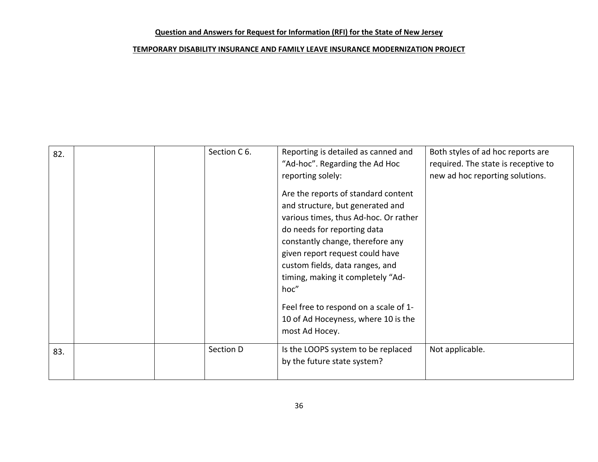| 82. | Section C 6. | Reporting is detailed as canned and<br>"Ad-hoc". Regarding the Ad Hoc<br>reporting solely:<br>Are the reports of standard content<br>and structure, but generated and<br>various times, thus Ad-hoc. Or rather<br>do needs for reporting data<br>constantly change, therefore any<br>given report request could have<br>custom fields, data ranges, and<br>timing, making it completely "Ad-<br>hoc"<br>Feel free to respond on a scale of 1-<br>10 of Ad Hoceyness, where 10 is the<br>most Ad Hocey. | Both styles of ad hoc reports are<br>required. The state is receptive to<br>new ad hoc reporting solutions. |
|-----|--------------|--------------------------------------------------------------------------------------------------------------------------------------------------------------------------------------------------------------------------------------------------------------------------------------------------------------------------------------------------------------------------------------------------------------------------------------------------------------------------------------------------------|-------------------------------------------------------------------------------------------------------------|
| 83. | Section D    | Is the LOOPS system to be replaced<br>by the future state system?                                                                                                                                                                                                                                                                                                                                                                                                                                      | Not applicable.                                                                                             |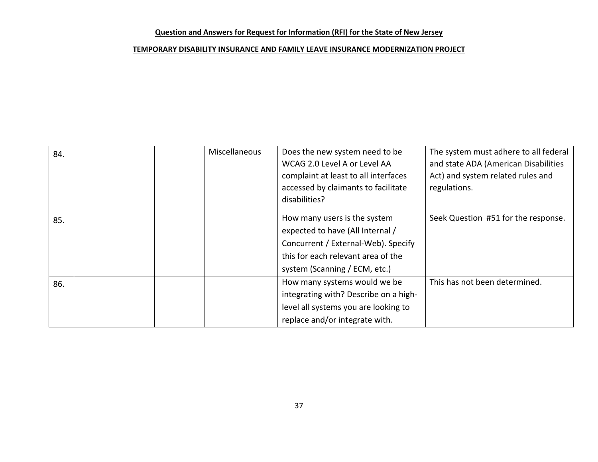| 84. | Miscellaneous | Does the new system need to be<br>WCAG 2.0 Level A or Level AA<br>complaint at least to all interfaces<br>accessed by claimants to facilitate<br>disabilities?                 | The system must adhere to all federal<br>and state ADA (American Disabilities<br>Act) and system related rules and<br>regulations. |
|-----|---------------|--------------------------------------------------------------------------------------------------------------------------------------------------------------------------------|------------------------------------------------------------------------------------------------------------------------------------|
| 85. |               | How many users is the system<br>expected to have (All Internal /<br>Concurrent / External-Web). Specify<br>this for each relevant area of the<br>system (Scanning / ECM, etc.) | Seek Question #51 for the response.                                                                                                |
| 86. |               | How many systems would we be<br>integrating with? Describe on a high-<br>level all systems you are looking to<br>replace and/or integrate with.                                | This has not been determined.                                                                                                      |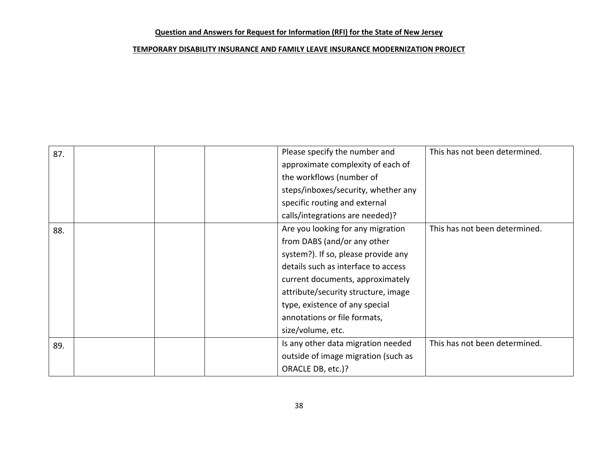| 87. | Please specify the number and       | This has not been determined. |
|-----|-------------------------------------|-------------------------------|
|     | approximate complexity of each of   |                               |
|     | the workflows (number of            |                               |
|     | steps/inboxes/security, whether any |                               |
|     | specific routing and external       |                               |
|     | calls/integrations are needed)?     |                               |
| 88. | Are you looking for any migration   | This has not been determined. |
|     | from DABS (and/or any other         |                               |
|     | system?). If so, please provide any |                               |
|     | details such as interface to access |                               |
|     | current documents, approximately    |                               |
|     | attribute/security structure, image |                               |
|     | type, existence of any special      |                               |
|     | annotations or file formats,        |                               |
|     | size/volume, etc.                   |                               |
| 89. | Is any other data migration needed  | This has not been determined. |
|     | outside of image migration (such as |                               |
|     | ORACLE DB, etc.)?                   |                               |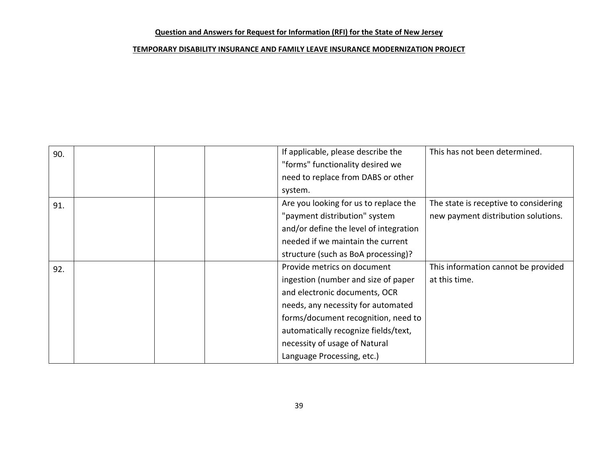| 90. |  | If applicable, please describe the     | This has not been determined.         |
|-----|--|----------------------------------------|---------------------------------------|
|     |  | "forms" functionality desired we       |                                       |
|     |  | need to replace from DABS or other     |                                       |
|     |  | system.                                |                                       |
| 91. |  | Are you looking for us to replace the  | The state is receptive to considering |
|     |  | "payment distribution" system          | new payment distribution solutions.   |
|     |  | and/or define the level of integration |                                       |
|     |  | needed if we maintain the current      |                                       |
|     |  | structure (such as BoA processing)?    |                                       |
| 92. |  | Provide metrics on document            | This information cannot be provided   |
|     |  | ingestion (number and size of paper    | at this time.                         |
|     |  | and electronic documents, OCR          |                                       |
|     |  | needs, any necessity for automated     |                                       |
|     |  | forms/document recognition, need to    |                                       |
|     |  | automatically recognize fields/text,   |                                       |
|     |  | necessity of usage of Natural          |                                       |
|     |  | Language Processing, etc.)             |                                       |